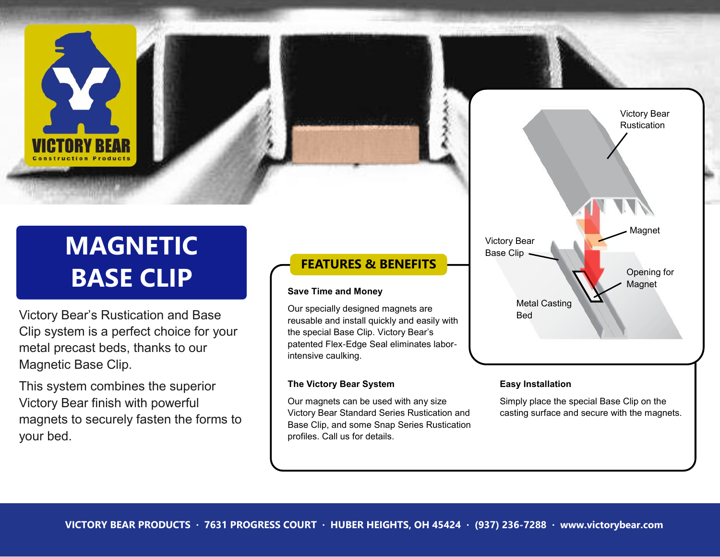# **MAGNETIC BASE CLIP**

Victory Bear's Rustication and Base Clip system is a perfect choice for your metal precast beds, thanks to our Magnetic Base Clip.

This system combines the superior Victory Bear finish with powerful magnets to securely fasten the forms to your bed.

### **FEATURES & BENEFITS**

#### **Save Time and Money**

Our specially designed magnets are reusable and install quickly and easily with the special Base Clip. Victory Bear's patented Flex-Edge Seal eliminates laborintensive caulking.

#### **The Victory Bear System**

Our magnets can be used with any size Victory Bear Standard Series Rustication and Base Clip, and some Snap Series Rustication profiles. Call us for details.



#### **Easy Installation**

Simply place the special Base Clip on the casting surface and secure with the magnets.